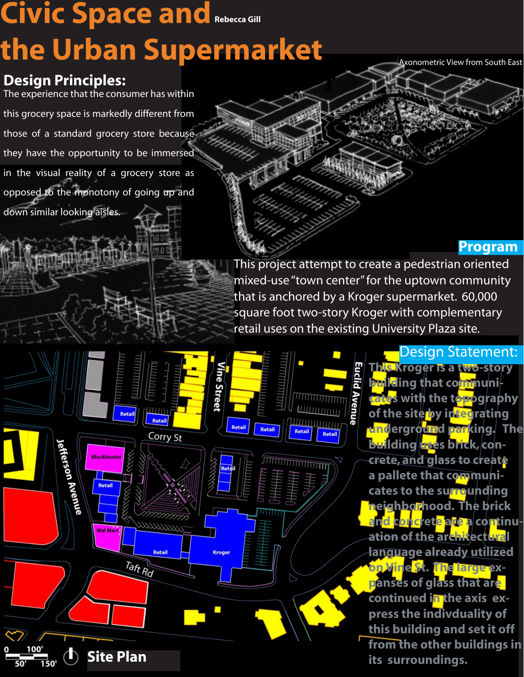# **Civic Space and Rebecca Gill the Urban Supermarket**

ne Streer

**Kroger** 

Retail

Corry St

11111111

Retail

Taft Rd

Axonometric View from South East

### **Design Principles:**

down similar looking aisles.

Jefferson Avenue

Retail

The experience that the consumer has within this grocery space is markedly different from those of a standard grocery store because they have the opportunity to be immersed

in the visual reality of a grocery store as opposed to the monotony of going up and

#### **Program**

This project attempt to create a pedestrian oriented mixed-use "town center" for the uptown community that is anchored by a Kroger supermarket. 60,000 square foot two-story Kroger with complementary retail uses on the existing University Plaza site.

ШШШтт

<u>шлининтт</u>



**This Kroger is a two-story building that communicates with the topography of the site by integrating underground parking.** The **building uses brick, concrete, and glass to create a pallete that communicates to the surrounding neighborhood. The brick an<mark>c</mark>ret<mark>e are a</mark> continuation of the architectural language already utilized on Vine St. The large expanses of glass that are**  continued in the axis ex**press the indivduality of this building and set it off from the other buildings in Site Plan its surroundings.**